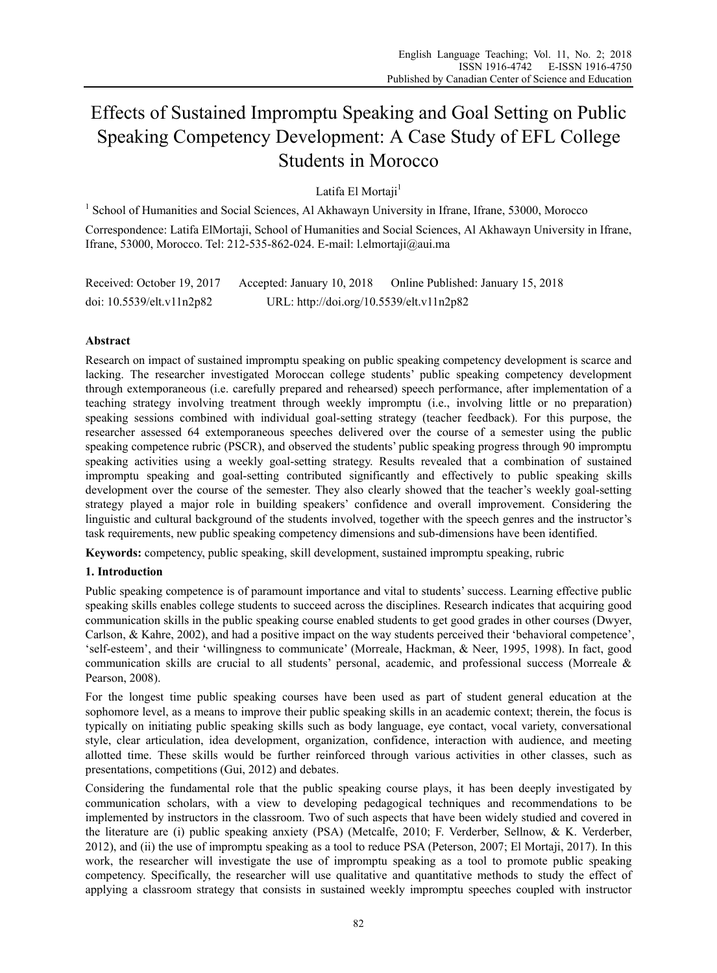# Effects of Sustained Impromptu Speaking and Goal Setting on Public Speaking Competency Development: A Case Study of EFL College Students in Morocco

Latifa El Mortaii<sup>1</sup>

<sup>1</sup> School of Humanities and Social Sciences, Al Akhawayn University in Ifrane, Ifrane, 53000, Morocco Correspondence: Latifa ElMortaji, School of Humanities and Social Sciences, Al Akhawayn University in Ifrane, Ifrane, 53000, Morocco. Tel: 212-535-862-024. E-mail: l.elmortaji@aui.ma

Received: October 19, 2017 Accepted: January 10, 2018 Online Published: January 15, 2018 doi: 10.5539/elt.v11n2p82 URL: http://doi.org/10.5539/elt.v11n2p82

# **Abstract**

Research on impact of sustained impromptu speaking on public speaking competency development is scarce and lacking. The researcher investigated Moroccan college students' public speaking competency development through extemporaneous (i.e. carefully prepared and rehearsed) speech performance, after implementation of a teaching strategy involving treatment through weekly impromptu (i.e., involving little or no preparation) speaking sessions combined with individual goal-setting strategy (teacher feedback). For this purpose, the researcher assessed 64 extemporaneous speeches delivered over the course of a semester using the public speaking competence rubric (PSCR), and observed the students' public speaking progress through 90 impromptu speaking activities using a weekly goal-setting strategy. Results revealed that a combination of sustained impromptu speaking and goal-setting contributed significantly and effectively to public speaking skills development over the course of the semester. They also clearly showed that the teacher's weekly goal-setting strategy played a major role in building speakers' confidence and overall improvement. Considering the linguistic and cultural background of the students involved, together with the speech genres and the instructor's task requirements, new public speaking competency dimensions and sub-dimensions have been identified.

**Keywords:** competency, public speaking, skill development, sustained impromptu speaking, rubric

# **1. Introduction**

Public speaking competence is of paramount importance and vital to students' success. Learning effective public speaking skills enables college students to succeed across the disciplines. Research indicates that acquiring good communication skills in the public speaking course enabled students to get good grades in other courses (Dwyer, Carlson, & Kahre, 2002), and had a positive impact on the way students perceived their 'behavioral competence', 'self-esteem', and their 'willingness to communicate' (Morreale, Hackman, & Neer, 1995, 1998). In fact, good communication skills are crucial to all students' personal, academic, and professional success (Morreale & Pearson, 2008).

For the longest time public speaking courses have been used as part of student general education at the sophomore level, as a means to improve their public speaking skills in an academic context; therein, the focus is typically on initiating public speaking skills such as body language, eye contact, vocal variety, conversational style, clear articulation, idea development, organization, confidence, interaction with audience, and meeting allotted time. These skills would be further reinforced through various activities in other classes, such as presentations, competitions (Gui, 2012) and debates.

Considering the fundamental role that the public speaking course plays, it has been deeply investigated by communication scholars, with a view to developing pedagogical techniques and recommendations to be implemented by instructors in the classroom. Two of such aspects that have been widely studied and covered in the literature are (i) public speaking anxiety (PSA) (Metcalfe, 2010; F. Verderber, Sellnow, & K. Verderber, 2012), and (ii) the use of impromptu speaking as a tool to reduce PSA (Peterson, 2007; El Mortaji, 2017). In this work, the researcher will investigate the use of impromptu speaking as a tool to promote public speaking competency. Specifically, the researcher will use qualitative and quantitative methods to study the effect of applying a classroom strategy that consists in sustained weekly impromptu speeches coupled with instructor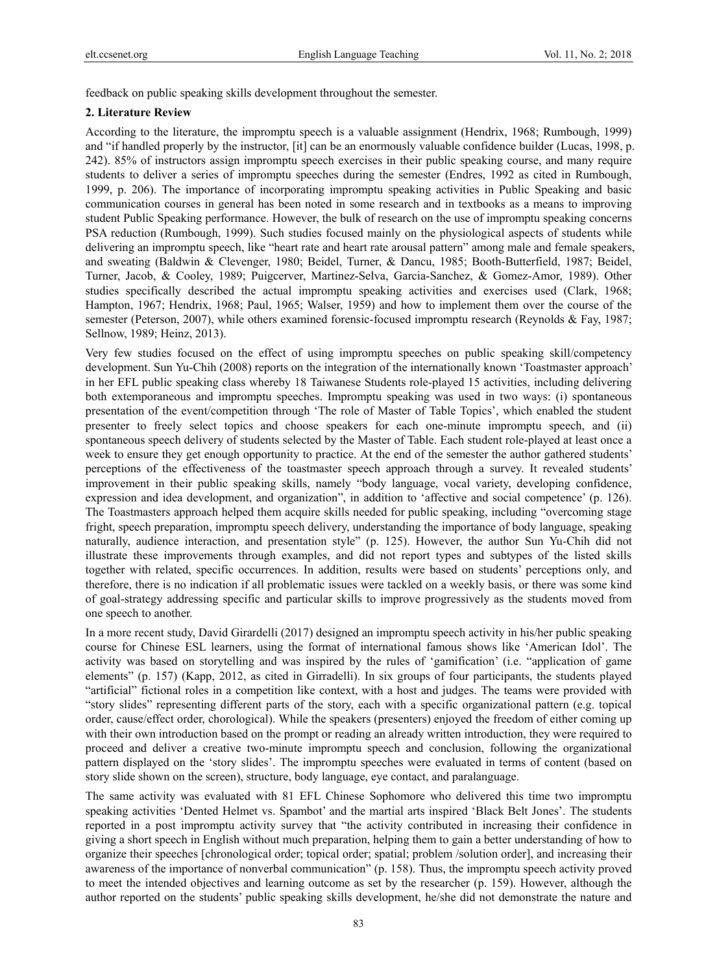feedback on public speaking skills development throughout the semester.

#### **2. Literature Review**

According to the literature, the impromptu speech is a valuable assignment (Hendrix, 1968; Rumbough, 1999) and "if handled properly by the instructor, [it] can be an enormously valuable confidence builder (Lucas, 1998, p. 242). 85% of instructors assign impromptu speech exercises in their public speaking course, and many require students to deliver a series of impromptu speeches during the semester (Endres, 1992 as cited in Rumbough, 1999, p. 206). The importance of incorporating impromptu speaking activities in Public Speaking and basic communication courses in general has been noted in some research and in textbooks as a means to improving student Public Speaking performance. However, the bulk of research on the use of impromptu speaking concerns PSA reduction (Rumbough, 1999). Such studies focused mainly on the physiological aspects of students while delivering an impromptu speech, like "heart rate and heart rate arousal pattern" among male and female speakers, and sweating (Baldwin & Clevenger, 1980; Beidel, Turner, & Dancu, 1985; Booth-Butterfield, 1987; Beidel, Turner, Jacob, & Cooley, 1989; Puigcerver, Martinez-Selva, Garcia-Sanchez, & Gomez-Amor, 1989). Other studies specifically described the actual impromptu speaking activities and exercises used (Clark, 1968; Hampton, 1967; Hendrix, 1968; Paul, 1965; Walser, 1959) and how to implement them over the course of the semester (Peterson, 2007), while others examined forensic-focused impromptu research (Reynolds & Fay, 1987; Sellnow, 1989; Heinz, 2013).

Very few studies focused on the effect of using impromptu speeches on public speaking skill/competency development. Sun Yu-Chih (2008) reports on the integration of the internationally known 'Toastmaster approach' in her EFL public speaking class whereby 18 Taiwanese Students role-played 15 activities, including delivering both extemporaneous and impromptu speeches. Impromptu speaking was used in two ways: (i) spontaneous presentation of the event/competition through 'The role of Master of Table Topics', which enabled the student presenter to freely select topics and choose speakers for each one-minute impromptu speech, and (ii) spontaneous speech delivery of students selected by the Master of Table. Each student role-played at least once a week to ensure they get enough opportunity to practice. At the end of the semester the author gathered students' perceptions of the effectiveness of the toastmaster speech approach through a survey. It revealed students' improvement in their public speaking skills, namely "body language, vocal variety, developing confidence, expression and idea development, and organization", in addition to 'affective and social competence' (p. 126). The Toastmasters approach helped them acquire skills needed for public speaking, including "overcoming stage fright, speech preparation, impromptu speech delivery, understanding the importance of body language, speaking naturally, audience interaction, and presentation style" (p. 125). However, the author Sun Yu-Chih did not illustrate these improvements through examples, and did not report types and subtypes of the listed skills together with related, specific occurrences. In addition, results were based on students' perceptions only, and therefore, there is no indication if all problematic issues were tackled on a weekly basis, or there was some kind of goal-strategy addressing specific and particular skills to improve progressively as the students moved from one speech to another.

In a more recent study, David Girardelli (2017) designed an impromptu speech activity in his/her public speaking course for Chinese ESL learners, using the format of international famous shows like 'American Idol'. The activity was based on storytelling and was inspired by the rules of 'gamification' (i.e. "application of game elements" (p. 157) (Kapp, 2012, as cited in Girradelli). In six groups of four participants, the students played "artificial" fictional roles in a competition like context, with a host and judges. The teams were provided with "story slides" representing different parts of the story, each with a specific organizational pattern (e.g. topical order, cause/effect order, chorological). While the speakers (presenters) enjoyed the freedom of either coming up with their own introduction based on the prompt or reading an already written introduction, they were required to proceed and deliver a creative two-minute impromptu speech and conclusion, following the organizational pattern displayed on the 'story slides'. The impromptu speeches were evaluated in terms of content (based on story slide shown on the screen), structure, body language, eye contact, and paralanguage.

The same activity was evaluated with 81 EFL Chinese Sophomore who delivered this time two impromptu speaking activities 'Dented Helmet vs. Spambot' and the martial arts inspired 'Black Belt Jones'. The students reported in a post impromptu activity survey that "the activity contributed in increasing their confidence in giving a short speech in English without much preparation, helping them to gain a better understanding of how to organize their speeches [chronological order; topical order; spatial; problem /solution order], and increasing their awareness of the importance of nonverbal communication" (p. 158). Thus, the impromptu speech activity proved to meet the intended objectives and learning outcome as set by the researcher (p. 159). However, although the author reported on the students' public speaking skills development, he/she did not demonstrate the nature and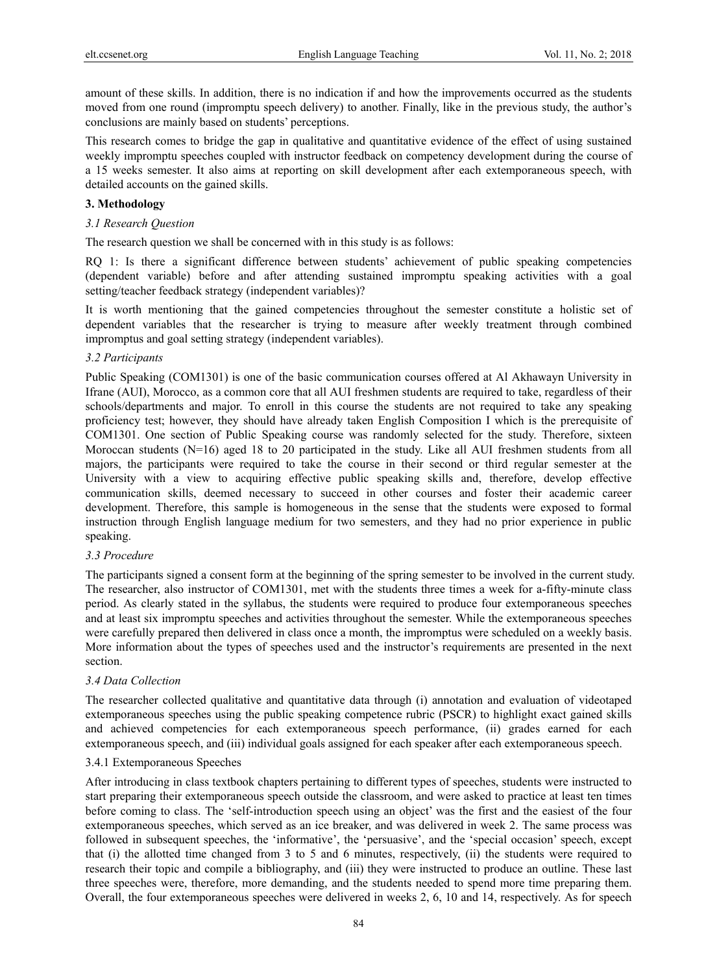amount of these skills. In addition, there is no indication if and how the improvements occurred as the students moved from one round (impromptu speech delivery) to another. Finally, like in the previous study, the author's conclusions are mainly based on students' perceptions.

This research comes to bridge the gap in qualitative and quantitative evidence of the effect of using sustained weekly impromptu speeches coupled with instructor feedback on competency development during the course of a 15 weeks semester. It also aims at reporting on skill development after each extemporaneous speech, with detailed accounts on the gained skills.

#### **3. Methodology**

#### *3.1 Research Question*

The research question we shall be concerned with in this study is as follows:

RQ 1: Is there a significant difference between students' achievement of public speaking competencies (dependent variable) before and after attending sustained impromptu speaking activities with a goal setting/teacher feedback strategy (independent variables)?

It is worth mentioning that the gained competencies throughout the semester constitute a holistic set of dependent variables that the researcher is trying to measure after weekly treatment through combined impromptus and goal setting strategy (independent variables).

#### *3.2 Participants*

Public Speaking (COM1301) is one of the basic communication courses offered at Al Akhawayn University in Ifrane (AUI), Morocco, as a common core that all AUI freshmen students are required to take, regardless of their schools/departments and major. To enroll in this course the students are not required to take any speaking proficiency test; however, they should have already taken English Composition I which is the prerequisite of COM1301. One section of Public Speaking course was randomly selected for the study. Therefore, sixteen Moroccan students (N=16) aged 18 to 20 participated in the study. Like all AUI freshmen students from all majors, the participants were required to take the course in their second or third regular semester at the University with a view to acquiring effective public speaking skills and, therefore, develop effective communication skills, deemed necessary to succeed in other courses and foster their academic career development. Therefore, this sample is homogeneous in the sense that the students were exposed to formal instruction through English language medium for two semesters, and they had no prior experience in public speaking.

# *3.3 Procedure*

The participants signed a consent form at the beginning of the spring semester to be involved in the current study. The researcher, also instructor of COM1301, met with the students three times a week for a-fifty-minute class period. As clearly stated in the syllabus, the students were required to produce four extemporaneous speeches and at least six impromptu speeches and activities throughout the semester. While the extemporaneous speeches were carefully prepared then delivered in class once a month, the impromptus were scheduled on a weekly basis. More information about the types of speeches used and the instructor's requirements are presented in the next section.

# *3.4 Data Collection*

The researcher collected qualitative and quantitative data through (i) annotation and evaluation of videotaped extemporaneous speeches using the public speaking competence rubric (PSCR) to highlight exact gained skills and achieved competencies for each extemporaneous speech performance, (ii) grades earned for each extemporaneous speech, and (iii) individual goals assigned for each speaker after each extemporaneous speech.

#### 3.4.1 Extemporaneous Speeches

After introducing in class textbook chapters pertaining to different types of speeches, students were instructed to start preparing their extemporaneous speech outside the classroom, and were asked to practice at least ten times before coming to class. The 'self-introduction speech using an object' was the first and the easiest of the four extemporaneous speeches, which served as an ice breaker, and was delivered in week 2. The same process was followed in subsequent speeches, the 'informative', the 'persuasive', and the 'special occasion' speech, except that (i) the allotted time changed from 3 to 5 and 6 minutes, respectively, (ii) the students were required to research their topic and compile a bibliography, and (iii) they were instructed to produce an outline. These last three speeches were, therefore, more demanding, and the students needed to spend more time preparing them. Overall, the four extemporaneous speeches were delivered in weeks 2, 6, 10 and 14, respectively. As for speech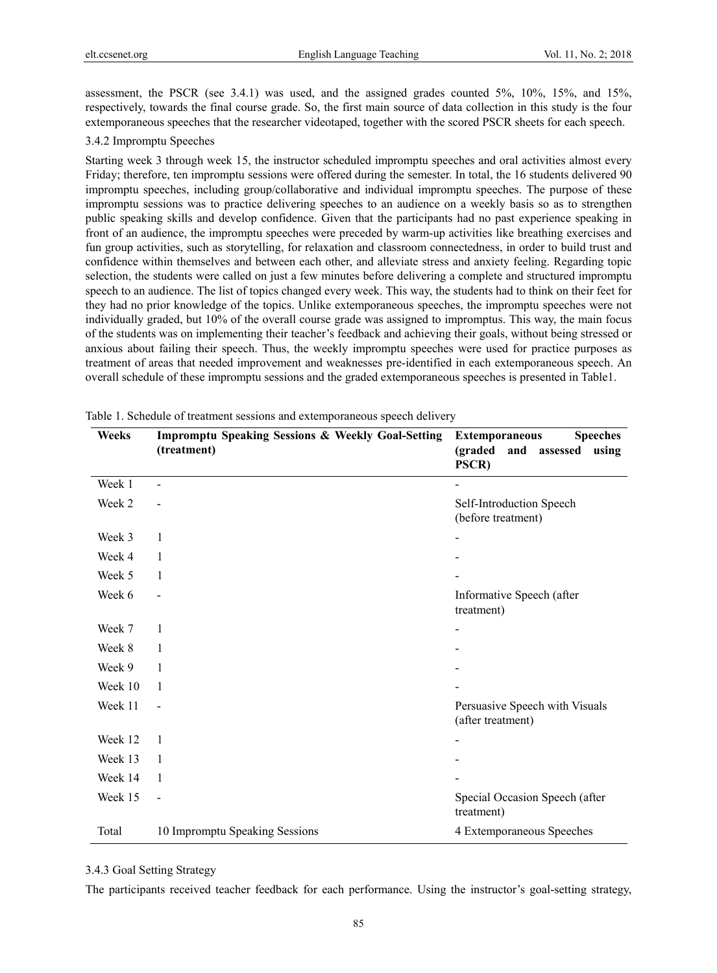assessment, the PSCR (see 3.4.1) was used, and the assigned grades counted 5%, 10%, 15%, and 15%, respectively, towards the final course grade. So, the first main source of data collection in this study is the four extemporaneous speeches that the researcher videotaped, together with the scored PSCR sheets for each speech.

# 3.4.2 Impromptu Speeches

Starting week 3 through week 15, the instructor scheduled impromptu speeches and oral activities almost every Friday; therefore, ten impromptu sessions were offered during the semester. In total, the 16 students delivered 90 impromptu speeches, including group/collaborative and individual impromptu speeches. The purpose of these impromptu sessions was to practice delivering speeches to an audience on a weekly basis so as to strengthen public speaking skills and develop confidence. Given that the participants had no past experience speaking in front of an audience, the impromptu speeches were preceded by warm-up activities like breathing exercises and fun group activities, such as storytelling, for relaxation and classroom connectedness, in order to build trust and confidence within themselves and between each other, and alleviate stress and anxiety feeling. Regarding topic selection, the students were called on just a few minutes before delivering a complete and structured impromptu speech to an audience. The list of topics changed every week. This way, the students had to think on their feet for they had no prior knowledge of the topics. Unlike extemporaneous speeches, the impromptu speeches were not individually graded, but 10% of the overall course grade was assigned to impromptus. This way, the main focus of the students was on implementing their teacher's feedback and achieving their goals, without being stressed or anxious about failing their speech. Thus, the weekly impromptu speeches were used for practice purposes as treatment of areas that needed improvement and weaknesses pre-identified in each extemporaneous speech. An overall schedule of these impromptu sessions and the graded extemporaneous speeches is presented in Table1.

| Weeks   | <b>Impromptu Speaking Sessions &amp; Weekly Goal-Setting</b><br>(treatment) | <b>Speeches</b><br><b>Extemporaneous</b><br>(graded<br>and<br>assessed<br>using<br><b>PSCR)</b> |
|---------|-----------------------------------------------------------------------------|-------------------------------------------------------------------------------------------------|
| Week 1  | $\overline{\phantom{0}}$                                                    |                                                                                                 |
| Week 2  |                                                                             | Self-Introduction Speech<br>(before treatment)                                                  |
| Week 3  | 1                                                                           |                                                                                                 |
| Week 4  | $\mathbf{1}$                                                                |                                                                                                 |
| Week 5  | 1                                                                           |                                                                                                 |
| Week 6  | $\overline{a}$                                                              | Informative Speech (after<br>treatment)                                                         |
| Week 7  | 1                                                                           |                                                                                                 |
| Week 8  | 1                                                                           |                                                                                                 |
| Week 9  | 1                                                                           |                                                                                                 |
| Week 10 | $\mathbf{1}$                                                                |                                                                                                 |
| Week 11 |                                                                             | Persuasive Speech with Visuals<br>(after treatment)                                             |
| Week 12 | $\mathbf{1}$                                                                |                                                                                                 |
| Week 13 | 1                                                                           |                                                                                                 |
| Week 14 | 1                                                                           |                                                                                                 |
| Week 15 | $\overline{a}$                                                              | Special Occasion Speech (after<br>treatment)                                                    |
| Total   | 10 Impromptu Speaking Sessions                                              | 4 Extemporaneous Speeches                                                                       |

Table 1. Schedule of treatment sessions and extemporaneous speech delivery

#### 3.4.3 Goal Setting Strategy

The participants received teacher feedback for each performance. Using the instructor's goal-setting strategy,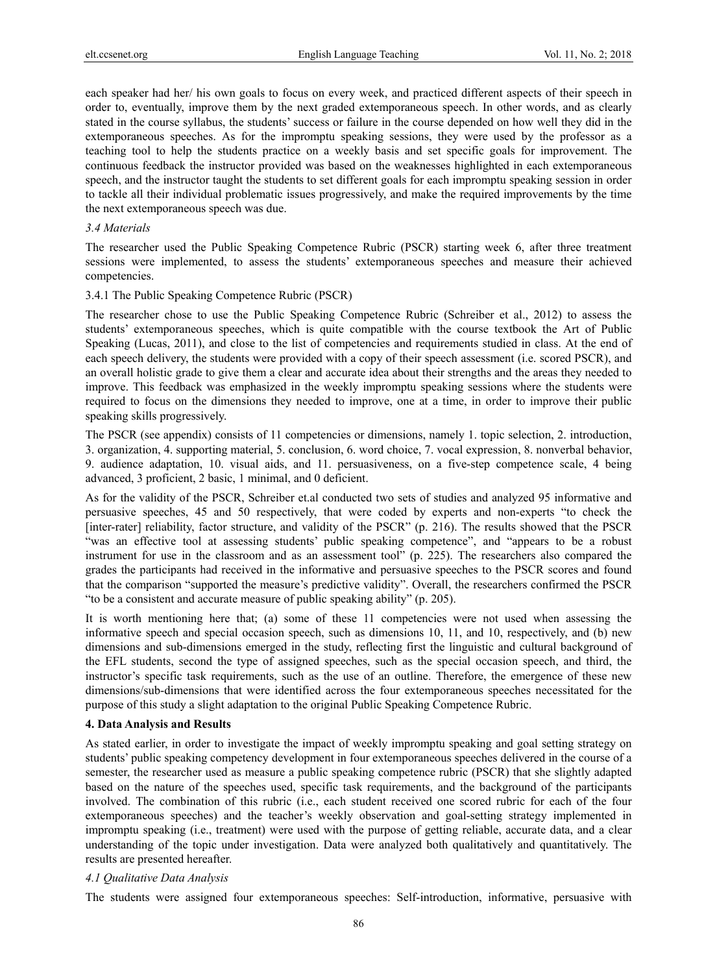each speaker had her/ his own goals to focus on every week, and practiced different aspects of their speech in order to, eventually, improve them by the next graded extemporaneous speech. In other words, and as clearly stated in the course syllabus, the students' success or failure in the course depended on how well they did in the extemporaneous speeches. As for the impromptu speaking sessions, they were used by the professor as a teaching tool to help the students practice on a weekly basis and set specific goals for improvement. The continuous feedback the instructor provided was based on the weaknesses highlighted in each extemporaneous speech, and the instructor taught the students to set different goals for each impromptu speaking session in order to tackle all their individual problematic issues progressively, and make the required improvements by the time the next extemporaneous speech was due.

#### *3.4 Materials*

The researcher used the Public Speaking Competence Rubric (PSCR) starting week 6, after three treatment sessions were implemented, to assess the students' extemporaneous speeches and measure their achieved competencies.

#### 3.4.1 The Public Speaking Competence Rubric (PSCR)

The researcher chose to use the Public Speaking Competence Rubric (Schreiber et al., 2012) to assess the students' extemporaneous speeches, which is quite compatible with the course textbook the Art of Public Speaking (Lucas, 2011), and close to the list of competencies and requirements studied in class. At the end of each speech delivery, the students were provided with a copy of their speech assessment (i.e. scored PSCR), and an overall holistic grade to give them a clear and accurate idea about their strengths and the areas they needed to improve. This feedback was emphasized in the weekly impromptu speaking sessions where the students were required to focus on the dimensions they needed to improve, one at a time, in order to improve their public speaking skills progressively.

The PSCR (see appendix) consists of 11 competencies or dimensions, namely 1. topic selection, 2. introduction, 3. organization, 4. supporting material, 5. conclusion, 6. word choice, 7. vocal expression, 8. nonverbal behavior, 9. audience adaptation, 10. visual aids, and 11. persuasiveness, on a five-step competence scale, 4 being advanced, 3 proficient, 2 basic, 1 minimal, and 0 deficient.

As for the validity of the PSCR, Schreiber et.al conducted two sets of studies and analyzed 95 informative and persuasive speeches, 45 and 50 respectively, that were coded by experts and non-experts "to check the [inter-rater] reliability, factor structure, and validity of the PSCR" (p. 216). The results showed that the PSCR "was an effective tool at assessing students' public speaking competence", and "appears to be a robust instrument for use in the classroom and as an assessment tool" (p. 225). The researchers also compared the grades the participants had received in the informative and persuasive speeches to the PSCR scores and found that the comparison "supported the measure's predictive validity". Overall, the researchers confirmed the PSCR "to be a consistent and accurate measure of public speaking ability" (p. 205).

It is worth mentioning here that; (a) some of these 11 competencies were not used when assessing the informative speech and special occasion speech, such as dimensions 10, 11, and 10, respectively, and (b) new dimensions and sub-dimensions emerged in the study, reflecting first the linguistic and cultural background of the EFL students, second the type of assigned speeches, such as the special occasion speech, and third, the instructor's specific task requirements, such as the use of an outline. Therefore, the emergence of these new dimensions/sub-dimensions that were identified across the four extemporaneous speeches necessitated for the purpose of this study a slight adaptation to the original Public Speaking Competence Rubric.

#### **4. Data Analysis and Results**

As stated earlier, in order to investigate the impact of weekly impromptu speaking and goal setting strategy on students' public speaking competency development in four extemporaneous speeches delivered in the course of a semester, the researcher used as measure a public speaking competence rubric (PSCR) that she slightly adapted based on the nature of the speeches used, specific task requirements, and the background of the participants involved. The combination of this rubric (i.e., each student received one scored rubric for each of the four extemporaneous speeches) and the teacher's weekly observation and goal-setting strategy implemented in impromptu speaking (i.e., treatment) were used with the purpose of getting reliable, accurate data, and a clear understanding of the topic under investigation. Data were analyzed both qualitatively and quantitatively. The results are presented hereafter.

# *4.1 Qualitative Data Analysis*

The students were assigned four extemporaneous speeches: Self-introduction, informative, persuasive with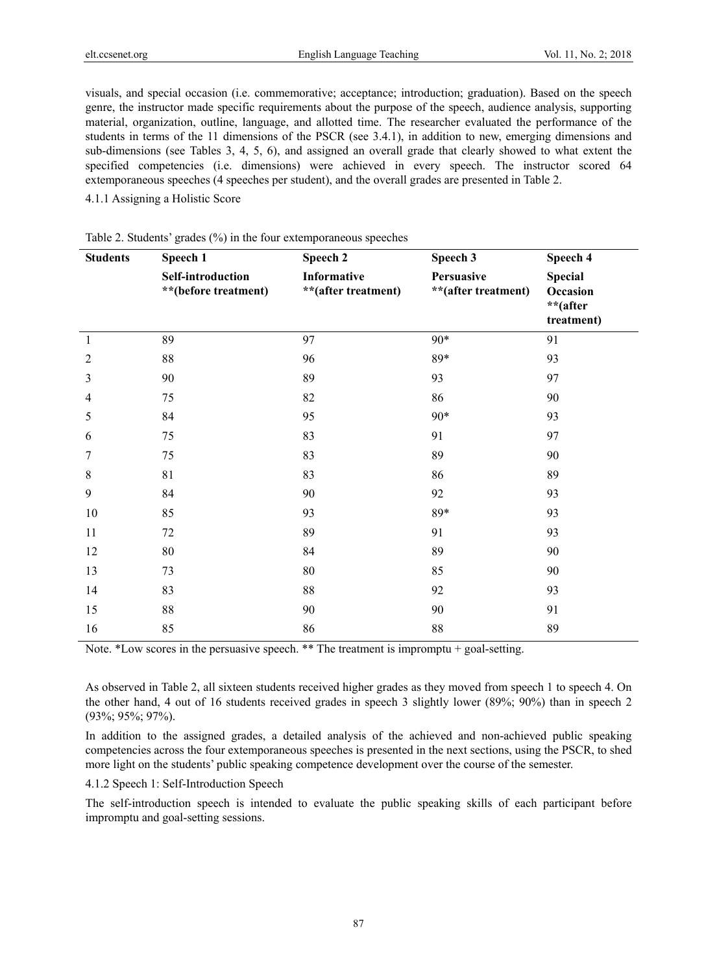visuals, and special occasion (i.e. commemorative; acceptance; introduction; graduation). Based on the speech genre, the instructor made specific requirements about the purpose of the speech, audience analysis, supporting material, organization, outline, language, and allotted time. The researcher evaluated the performance of the students in terms of the 11 dimensions of the PSCR (see 3.4.1), in addition to new, emerging dimensions and sub-dimensions (see Tables 3, 4, 5, 6), and assigned an overall grade that clearly showed to what extent the specified competencies (i.e. dimensions) were achieved in every speech. The instructor scored 64 extemporaneous speeches (4 speeches per student), and the overall grades are presented in Table 2.

4.1.1 Assigning a Holistic Score

| <b>Students</b> | Speech 1                                         | Speech 2                           | Speech 3                          | Speech 4                                             |
|-----------------|--------------------------------------------------|------------------------------------|-----------------------------------|------------------------------------------------------|
|                 | <b>Self-introduction</b><br>**(before treatment) | Informative<br>**(after treatment) | Persuasive<br>**(after treatment) | <b>Special</b><br>Occasion<br>**(after<br>treatment) |
| $\mathbf{1}$    | 89                                               | 97                                 | 90*                               | 91                                                   |
| $\sqrt{2}$      | 88                                               | 96                                 | 89*                               | 93                                                   |
| 3               | 90                                               | 89                                 | 93                                | 97                                                   |
| 4               | 75                                               | 82                                 | 86                                | 90                                                   |
| 5               | 84                                               | 95                                 | 90*                               | 93                                                   |
| 6               | 75                                               | 83                                 | 91                                | 97                                                   |
| 7               | 75                                               | 83                                 | 89                                | 90                                                   |
| $8\,$           | 81                                               | 83                                 | 86                                | 89                                                   |
| 9               | 84                                               | 90                                 | 92                                | 93                                                   |
| $10\,$          | 85                                               | 93                                 | 89*                               | 93                                                   |
| 11              | $72\,$                                           | 89                                 | 91                                | 93                                                   |
| 12              | $80\,$                                           | 84                                 | 89                                | 90                                                   |
| 13              | 73                                               | 80                                 | 85                                | 90                                                   |
| 14              | 83                                               | 88                                 | 92                                | 93                                                   |
| 15              | $88\,$                                           | 90                                 | 90                                | 91                                                   |
| 16              | 85                                               | 86                                 | 88                                | 89                                                   |

Table 2. Students' grades (%) in the four extemporaneous speeches

Note. \*Low scores in the persuasive speech. \*\* The treatment is impromptu + goal-setting.

As observed in Table 2, all sixteen students received higher grades as they moved from speech 1 to speech 4. On the other hand, 4 out of 16 students received grades in speech 3 slightly lower (89%; 90%) than in speech 2 (93%; 95%; 97%).

In addition to the assigned grades, a detailed analysis of the achieved and non-achieved public speaking competencies across the four extemporaneous speeches is presented in the next sections, using the PSCR, to shed more light on the students' public speaking competence development over the course of the semester.

4.1.2 Speech 1: Self-Introduction Speech

The self-introduction speech is intended to evaluate the public speaking skills of each participant before impromptu and goal-setting sessions.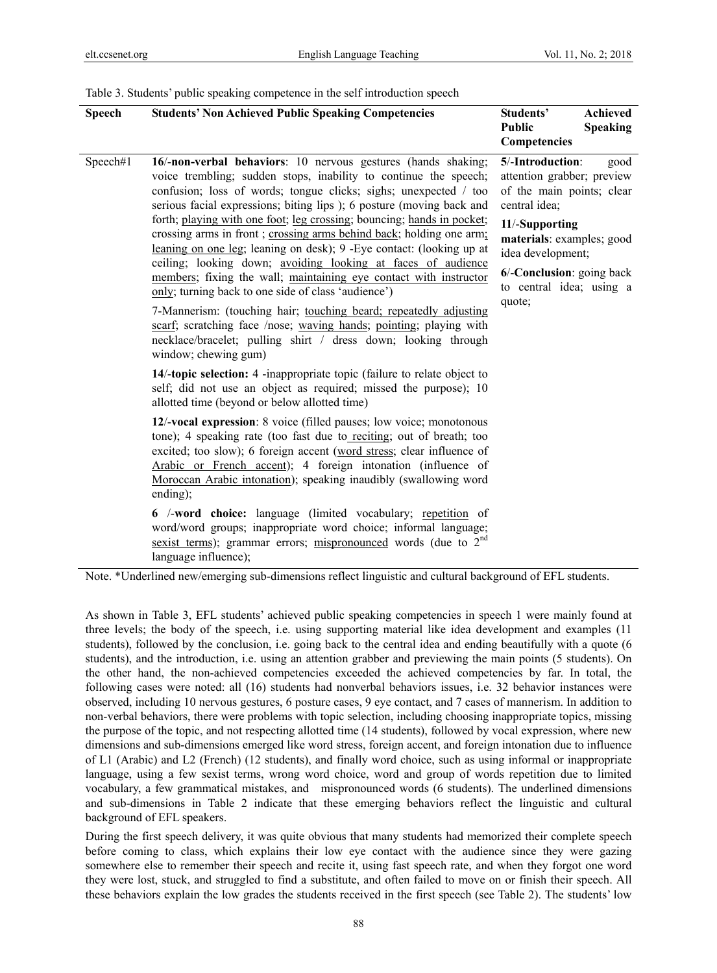#### Table 3. Students' public speaking competence in the self introduction speech

| <b>Speech</b> | <b>Students' Non Achieved Public Speaking Competencies</b>                                                                                                                                                                                                                                                                                                           | Students'<br><b>Achieved</b><br>Public<br><b>Speaking</b><br>Competencies                            |
|---------------|----------------------------------------------------------------------------------------------------------------------------------------------------------------------------------------------------------------------------------------------------------------------------------------------------------------------------------------------------------------------|------------------------------------------------------------------------------------------------------|
| Speech#1      | 16/-non-verbal behaviors: 10 nervous gestures (hands shaking;<br>voice trembling; sudden stops, inability to continue the speech;<br>confusion; loss of words; tongue clicks; sighs; unexpected / too<br>serious facial expressions; biting lips); 6 posture (moving back and                                                                                        | 5/-Introduction:<br>good<br>attention grabber; preview<br>of the main points; clear<br>central idea; |
|               | forth; playing with one foot; leg crossing; bouncing; hands in pocket;<br>crossing arms in front; crossing arms behind back; holding one arm;<br>leaning on one leg; leaning on desk); 9 - Eye contact: (looking up at                                                                                                                                               | 11/-Supporting<br>materials: examples; good<br>idea development;                                     |
|               | ceiling; looking down; avoiding looking at faces of audience<br>members; fixing the wall; maintaining eye contact with instructor<br>only; turning back to one side of class 'audience')                                                                                                                                                                             | 6/-Conclusion: going back<br>to central idea; using a<br>quote;                                      |
|               | 7-Mannerism: (touching hair; touching beard; repeatedly adjusting<br>scarf; scratching face /nose; waving hands; pointing; playing with<br>necklace/bracelet; pulling shirt / dress down; looking through<br>window; chewing gum)                                                                                                                                    |                                                                                                      |
|               | 14/-topic selection: 4 -inappropriate topic (failure to relate object to<br>self; did not use an object as required; missed the purpose); 10<br>allotted time (beyond or below allotted time)                                                                                                                                                                        |                                                                                                      |
|               | 12/-vocal expression: 8 voice (filled pauses; low voice; monotonous<br>tone); 4 speaking rate (too fast due to reciting; out of breath; too<br>excited; too slow); 6 foreign accent (word stress; clear influence of<br>Arabic or French accent); 4 foreign intonation (influence of<br>Moroccan Arabic intonation); speaking inaudibly (swallowing word<br>ending); |                                                                                                      |
|               | 6 /-word choice: language (limited vocabulary; repetition of<br>word/word groups; inappropriate word choice; informal language;<br>sexist terms); grammar errors; mispronounced words (due to $2nd$<br>language influence);                                                                                                                                          |                                                                                                      |

Note. \*Underlined new/emerging sub-dimensions reflect linguistic and cultural background of EFL students.

As shown in Table 3, EFL students' achieved public speaking competencies in speech 1 were mainly found at three levels; the body of the speech, i.e. using supporting material like idea development and examples (11 students), followed by the conclusion, i.e. going back to the central idea and ending beautifully with a quote (6 students), and the introduction, i.e. using an attention grabber and previewing the main points (5 students). On the other hand, the non-achieved competencies exceeded the achieved competencies by far. In total, the following cases were noted: all (16) students had nonverbal behaviors issues, i.e. 32 behavior instances were observed, including 10 nervous gestures, 6 posture cases, 9 eye contact, and 7 cases of mannerism. In addition to non-verbal behaviors, there were problems with topic selection, including choosing inappropriate topics, missing the purpose of the topic, and not respecting allotted time (14 students), followed by vocal expression, where new dimensions and sub-dimensions emerged like word stress, foreign accent, and foreign intonation due to influence of L1 (Arabic) and L2 (French) (12 students), and finally word choice, such as using informal or inappropriate language, using a few sexist terms, wrong word choice, word and group of words repetition due to limited vocabulary, a few grammatical mistakes, and mispronounced words (6 students). The underlined dimensions and sub-dimensions in Table 2 indicate that these emerging behaviors reflect the linguistic and cultural background of EFL speakers.

During the first speech delivery, it was quite obvious that many students had memorized their complete speech before coming to class, which explains their low eye contact with the audience since they were gazing somewhere else to remember their speech and recite it, using fast speech rate, and when they forgot one word they were lost, stuck, and struggled to find a substitute, and often failed to move on or finish their speech. All these behaviors explain the low grades the students received in the first speech (see Table 2). The students' low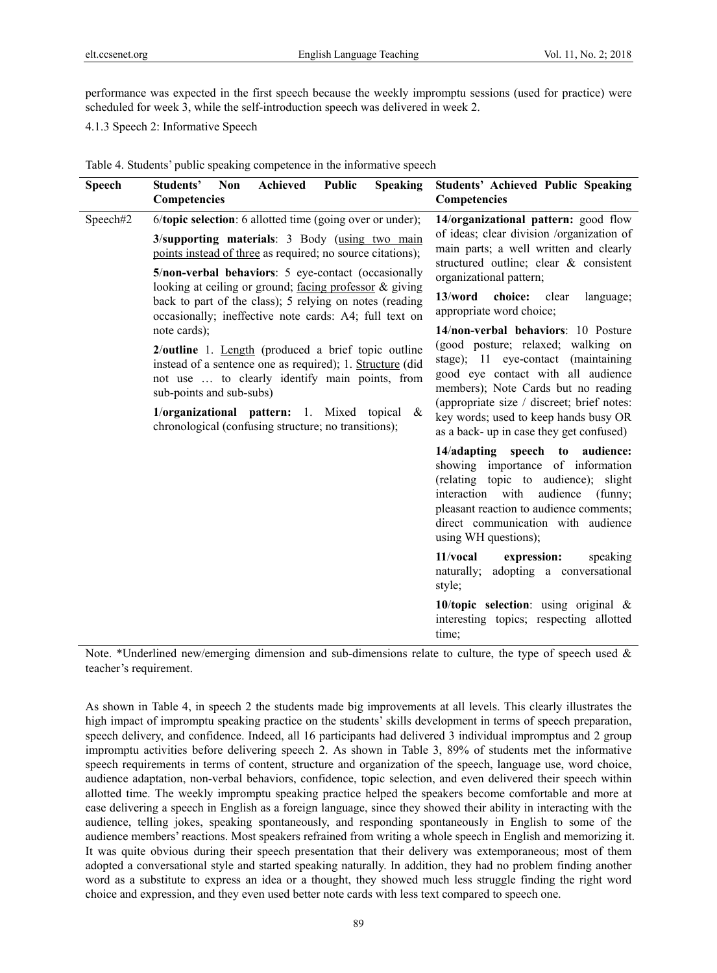performance was expected in the first speech because the weekly impromptu sessions (used for practice) were scheduled for week 3, while the self-introduction speech was delivered in week 2.

4.1.3 Speech 2: Informative Speech

| <b>Speech</b> | Students'<br><b>Non</b><br>Achieved<br><b>Public</b><br><b>Speaking</b><br>Competencies                                                                                                                                                                                                                                                                                                                          | <b>Students' Achieved Public Speaking</b><br>Competencies                                                                                                                                                                                                                                                                       |  |  |
|---------------|------------------------------------------------------------------------------------------------------------------------------------------------------------------------------------------------------------------------------------------------------------------------------------------------------------------------------------------------------------------------------------------------------------------|---------------------------------------------------------------------------------------------------------------------------------------------------------------------------------------------------------------------------------------------------------------------------------------------------------------------------------|--|--|
| Speech#2      | 6/topic selection: 6 allotted time (going over or under);<br>3/supporting materials: 3 Body (using two main<br>points instead of three as required; no source citations);<br>5/non-verbal behaviors: 5 eye-contact (occasionally<br>looking at ceiling or ground; facing professor & giving<br>back to part of the class); 5 relying on notes (reading<br>occasionally; ineffective note cards: A4; full text on | 14/organizational pattern: good flow<br>of ideas; clear division /organization of<br>main parts; a well written and clearly<br>structured outline; clear & consistent<br>organizational pattern;<br>$13$ /word<br>choice: clear<br>language;<br>appropriate word choice;                                                        |  |  |
|               | note cards);<br>$2$ /outline 1. Length (produced a brief topic outline<br>instead of a sentence one as required); 1. Structure (did<br>not use  to clearly identify main points, from<br>sub-points and sub-subs)<br>1/organizational pattern: 1. Mixed topical<br>$\&$<br>chronological (confusing structure; no transitions);                                                                                  | 14/non-verbal behaviors: 10 Posture<br>(good posture; relaxed; walking on<br>stage); 11 eye-contact (maintaining<br>good eye contact with all audience<br>members); Note Cards but no reading<br>(appropriate size / discreet; brief notes:<br>key words; used to keep hands busy OR<br>as a back-up in case they get confused) |  |  |
|               |                                                                                                                                                                                                                                                                                                                                                                                                                  | 14/adapting speech to audience:<br>showing importance of information<br>(relating topic to audience); slight<br>interaction<br>with<br>audience<br>(funny;<br>pleasant reaction to audience comments;<br>direct communication with audience<br>using WH questions);                                                             |  |  |
|               |                                                                                                                                                                                                                                                                                                                                                                                                                  | 11/vocal<br>expression:<br>speaking<br>naturally; adopting a conversational<br>style;                                                                                                                                                                                                                                           |  |  |
|               |                                                                                                                                                                                                                                                                                                                                                                                                                  | 10/topic selection: using original $\&$<br>interesting topics; respecting allotted<br>time:                                                                                                                                                                                                                                     |  |  |

Table 4. Students' public speaking competence in the informative speech

Note. \*Underlined new/emerging dimension and sub-dimensions relate to culture, the type of speech used  $\&$ teacher's requirement.

As shown in Table 4, in speech 2 the students made big improvements at all levels. This clearly illustrates the high impact of impromptu speaking practice on the students' skills development in terms of speech preparation, speech delivery, and confidence. Indeed, all 16 participants had delivered 3 individual impromptus and 2 group impromptu activities before delivering speech 2. As shown in Table 3, 89% of students met the informative speech requirements in terms of content, structure and organization of the speech, language use, word choice, audience adaptation, non-verbal behaviors, confidence, topic selection, and even delivered their speech within allotted time. The weekly impromptu speaking practice helped the speakers become comfortable and more at ease delivering a speech in English as a foreign language, since they showed their ability in interacting with the audience, telling jokes, speaking spontaneously, and responding spontaneously in English to some of the audience members' reactions. Most speakers refrained from writing a whole speech in English and memorizing it. It was quite obvious during their speech presentation that their delivery was extemporaneous; most of them adopted a conversational style and started speaking naturally. In addition, they had no problem finding another word as a substitute to express an idea or a thought, they showed much less struggle finding the right word choice and expression, and they even used better note cards with less text compared to speech one.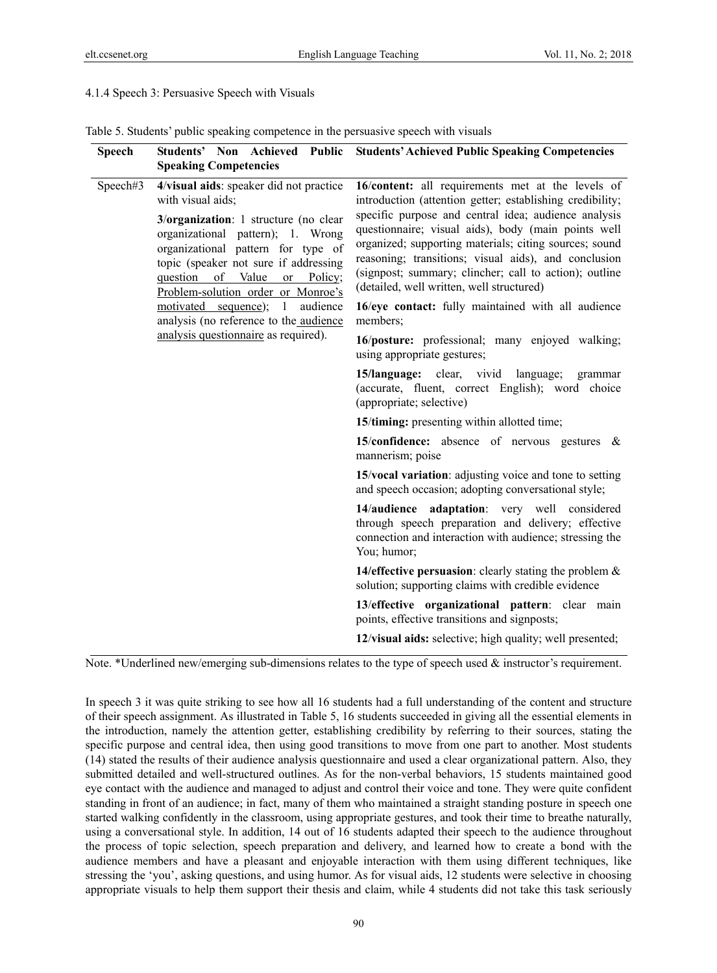# 4.1.4 Speech 3: Persuasive Speech with Visuals

|  | Table 5. Students' public speaking competence in the persuasive speech with visuals |  |
|--|-------------------------------------------------------------------------------------|--|
|  |                                                                                     |  |

| <b>Speech</b> | Students' Non Achieved Public<br><b>Speaking Competencies</b>                                                                                                                                                                     | <b>Students' Achieved Public Speaking Competencies</b>                                                                                                                                                                                                                                                                               |  |  |  |  |
|---------------|-----------------------------------------------------------------------------------------------------------------------------------------------------------------------------------------------------------------------------------|--------------------------------------------------------------------------------------------------------------------------------------------------------------------------------------------------------------------------------------------------------------------------------------------------------------------------------------|--|--|--|--|
| Speech#3      | 4/visual aids: speaker did not practice<br>with visual aids:                                                                                                                                                                      | 16/content: all requirements met at the levels of<br>introduction (attention getter; establishing credibility;                                                                                                                                                                                                                       |  |  |  |  |
|               | $3/organization: 1$ structure (no clear<br>organizational pattern); 1. Wrong<br>organizational pattern for type of<br>topic (speaker not sure if addressing<br>question of Value or Policy;<br>Problem-solution order or Monroe's | specific purpose and central idea; audience analysis<br>questionnaire; visual aids), body (main points well<br>organized; supporting materials; citing sources; sound<br>reasoning; transitions; visual aids), and conclusion<br>(signpost; summary; clincher; call to action); outline<br>(detailed, well written, well structured) |  |  |  |  |
|               | motivated sequence); 1 audience<br>analysis (no reference to the audience                                                                                                                                                         | 16/eye contact: fully maintained with all audience<br>members;                                                                                                                                                                                                                                                                       |  |  |  |  |
|               | analysis questionnaire as required).                                                                                                                                                                                              | 16/posture: professional; many enjoyed walking;<br>using appropriate gestures;                                                                                                                                                                                                                                                       |  |  |  |  |
|               |                                                                                                                                                                                                                                   | 15/language: clear, vivid language;<br>grammar<br>(accurate, fluent, correct English); word choice<br>(appropriate; selective)                                                                                                                                                                                                       |  |  |  |  |
|               |                                                                                                                                                                                                                                   | 15/timing: presenting within allotted time;                                                                                                                                                                                                                                                                                          |  |  |  |  |
|               |                                                                                                                                                                                                                                   | <b>15/confidence:</b> absence of nervous gestures $\&$<br>mannerism; poise                                                                                                                                                                                                                                                           |  |  |  |  |
|               |                                                                                                                                                                                                                                   | 15/vocal variation: adjusting voice and tone to setting<br>and speech occasion; adopting conversational style;                                                                                                                                                                                                                       |  |  |  |  |
|               |                                                                                                                                                                                                                                   | 14/audience adaptation: very well considered<br>through speech preparation and delivery; effective<br>connection and interaction with audience; stressing the<br>You; humor;                                                                                                                                                         |  |  |  |  |
|               |                                                                                                                                                                                                                                   | 14/effective persuasion: clearly stating the problem $\&$<br>solution; supporting claims with credible evidence                                                                                                                                                                                                                      |  |  |  |  |
|               |                                                                                                                                                                                                                                   | 13/effective organizational pattern: clear main<br>points, effective transitions and signposts;                                                                                                                                                                                                                                      |  |  |  |  |
|               |                                                                                                                                                                                                                                   | 12/visual aids: selective; high quality; well presented;                                                                                                                                                                                                                                                                             |  |  |  |  |

Note. \*Underlined new/emerging sub-dimensions relates to the type of speech used  $\&$  instructor's requirement.

In speech 3 it was quite striking to see how all 16 students had a full understanding of the content and structure of their speech assignment. As illustrated in Table 5, 16 students succeeded in giving all the essential elements in the introduction, namely the attention getter, establishing credibility by referring to their sources, stating the specific purpose and central idea, then using good transitions to move from one part to another. Most students (14) stated the results of their audience analysis questionnaire and used a clear organizational pattern. Also, they submitted detailed and well-structured outlines. As for the non-verbal behaviors, 15 students maintained good eye contact with the audience and managed to adjust and control their voice and tone. They were quite confident standing in front of an audience; in fact, many of them who maintained a straight standing posture in speech one started walking confidently in the classroom, using appropriate gestures, and took their time to breathe naturally, using a conversational style. In addition, 14 out of 16 students adapted their speech to the audience throughout the process of topic selection, speech preparation and delivery, and learned how to create a bond with the audience members and have a pleasant and enjoyable interaction with them using different techniques, like stressing the 'you', asking questions, and using humor. As for visual aids, 12 students were selective in choosing appropriate visuals to help them support their thesis and claim, while 4 students did not take this task seriously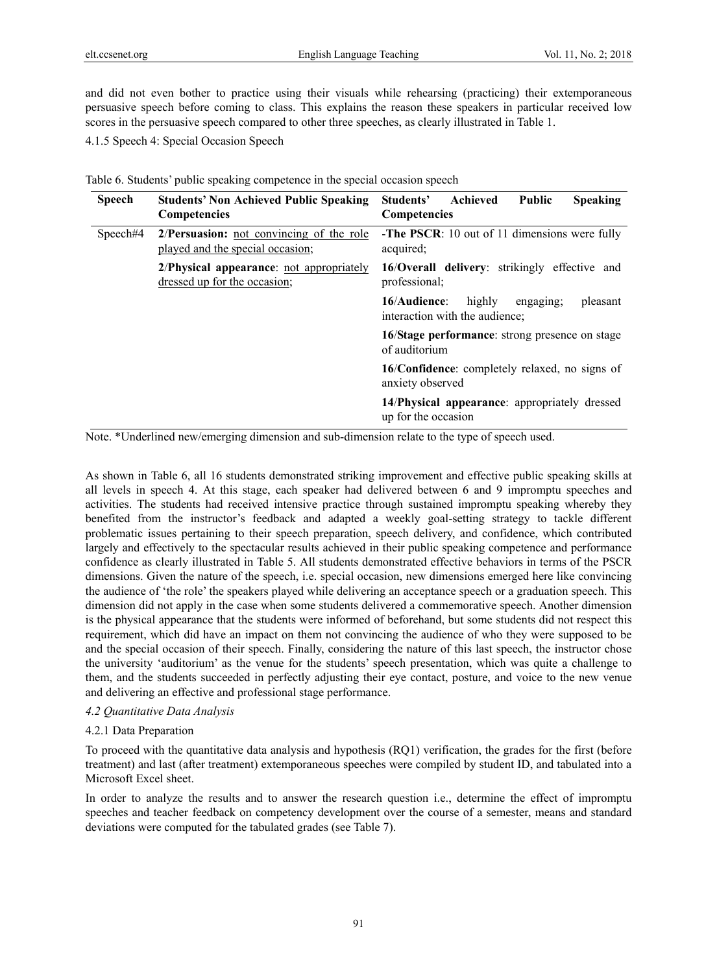and did not even bother to practice using their visuals while rehearsing (practicing) their extemporaneous persuasive speech before coming to class. This explains the reason these speakers in particular received low scores in the persuasive speech compared to other three speeches, as clearly illustrated in Table 1.

4.1.5 Speech 4: Special Occasion Speech

| <b>Speech</b> | <b>Students' Non Achieved Public Speaking</b><br><b>Competencies</b>                 | Students'<br>Achieved<br><b>Public</b><br><b>Speaking</b><br><b>Competencies</b>  |
|---------------|--------------------------------------------------------------------------------------|-----------------------------------------------------------------------------------|
| Speech#4      | 2/ <b>Persuasion:</b> not convincing of the role<br>played and the special occasion; | <b>The PSCR</b> : 10 out of 11 dimensions were fully<br>acquired;                 |
|               | 2/Physical appearance: not appropriately<br>dressed up for the occasion;             | 16/Overall delivery: strikingly effective and<br>professional:                    |
|               |                                                                                      | highly<br>16/Audience:<br>engaging;<br>pleasant<br>interaction with the audience; |
|               |                                                                                      | <b>16/Stage performance:</b> strong presence on stage<br>of auditorium            |
|               |                                                                                      | 16/Confidence: completely relaxed, no signs of<br>anxiety observed                |
|               |                                                                                      | 14/Physical appearance: appropriately dressed<br>up for the occasion              |

Table 6. Students' public speaking competence in the special occasion speech

Note. \*Underlined new/emerging dimension and sub-dimension relate to the type of speech used.

As shown in Table 6, all 16 students demonstrated striking improvement and effective public speaking skills at all levels in speech 4. At this stage, each speaker had delivered between 6 and 9 impromptu speeches and activities. The students had received intensive practice through sustained impromptu speaking whereby they benefited from the instructor's feedback and adapted a weekly goal-setting strategy to tackle different problematic issues pertaining to their speech preparation, speech delivery, and confidence, which contributed largely and effectively to the spectacular results achieved in their public speaking competence and performance confidence as clearly illustrated in Table 5. All students demonstrated effective behaviors in terms of the PSCR dimensions. Given the nature of the speech, i.e. special occasion, new dimensions emerged here like convincing the audience of 'the role' the speakers played while delivering an acceptance speech or a graduation speech. This dimension did not apply in the case when some students delivered a commemorative speech. Another dimension is the physical appearance that the students were informed of beforehand, but some students did not respect this requirement, which did have an impact on them not convincing the audience of who they were supposed to be and the special occasion of their speech. Finally, considering the nature of this last speech, the instructor chose the university 'auditorium' as the venue for the students' speech presentation, which was quite a challenge to them, and the students succeeded in perfectly adjusting their eye contact, posture, and voice to the new venue and delivering an effective and professional stage performance.

# *4.2 Quantitative Data Analysis*

# 4.2.1 Data Preparation

To proceed with the quantitative data analysis and hypothesis (RQ1) verification, the grades for the first (before treatment) and last (after treatment) extemporaneous speeches were compiled by student ID, and tabulated into a Microsoft Excel sheet.

In order to analyze the results and to answer the research question i.e., determine the effect of impromptu speeches and teacher feedback on competency development over the course of a semester, means and standard deviations were computed for the tabulated grades (see Table 7).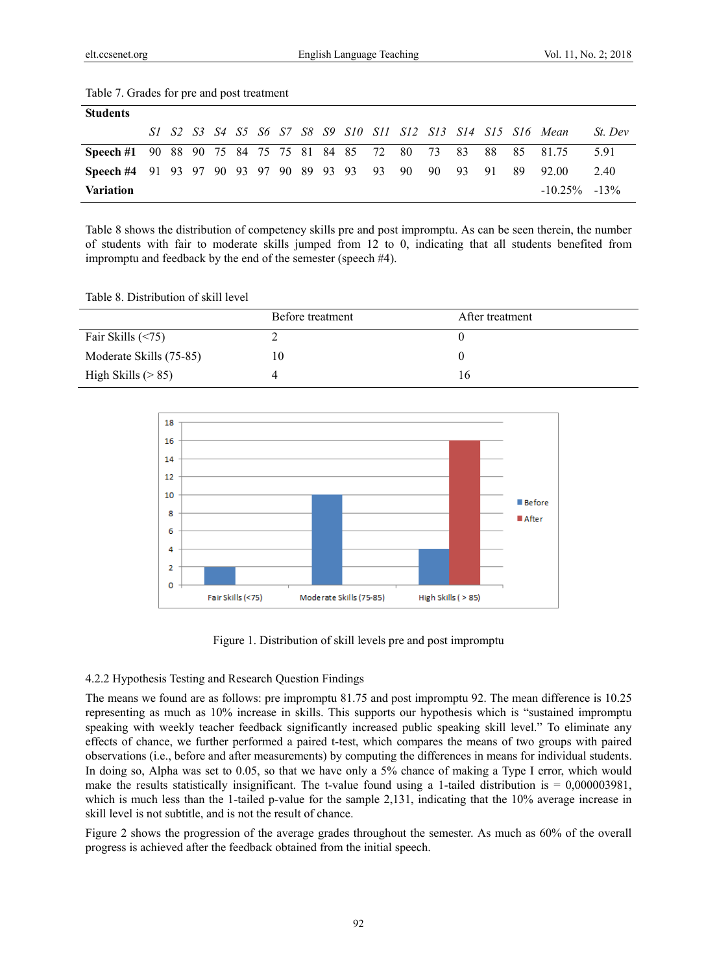#### Table 7. Grades for pre and post treatment

| <b>Students</b>                                                 |  |  |  |  |  |  |  |  |                                                             |                |
|-----------------------------------------------------------------|--|--|--|--|--|--|--|--|-------------------------------------------------------------|----------------|
|                                                                 |  |  |  |  |  |  |  |  | S1 S2 S3 S4 S5 S6 S7 S8 S9 S10 S11 S12 S13 S14 S15 S16 Mean | <i>St. Dev</i> |
| Speech #1 90 88 90 75 84 75 75 81 84 85 72 80 73 83 88 85 81.75 |  |  |  |  |  |  |  |  |                                                             | 591            |
| Speech #4 91 93 97 90 93 97 90 89 93 93 93 90 90 93 91 89 92.00 |  |  |  |  |  |  |  |  |                                                             | 2.40           |
| <b>Variation</b>                                                |  |  |  |  |  |  |  |  | $-10.25\% -13\%$                                            |                |

Table 8 shows the distribution of competency skills pre and post impromptu. As can be seen therein, the number of students with fair to moderate skills jumped from 12 to 0, indicating that all students benefited from impromptu and feedback by the end of the semester (speech #4).

Table 8. Distribution of skill level

|                         | Before treatment | After treatment |
|-------------------------|------------------|-----------------|
| Fair Skills $(\leq 75)$ |                  |                 |
| Moderate Skills (75-85) | 10               |                 |
| High Skills $(> 85)$    | 4                | 16              |



Figure 1. Distribution of skill levels pre and post impromptu

# 4.2.2 Hypothesis Testing and Research Question Findings

The means we found are as follows: pre impromptu 81.75 and post impromptu 92. The mean difference is 10.25 representing as much as 10% increase in skills. This supports our hypothesis which is "sustained impromptu speaking with weekly teacher feedback significantly increased public speaking skill level." To eliminate any effects of chance, we further performed a paired t-test, which compares the means of two groups with paired observations (i.e., before and after measurements) by computing the differences in means for individual students. In doing so, Alpha was set to 0.05, so that we have only a 5% chance of making a Type I error, which would make the results statistically insignificant. The t-value found using a 1-tailed distribution is  $= 0,000003981$ , which is much less than the 1-tailed p-value for the sample 2,131, indicating that the 10% average increase in skill level is not subtitle, and is not the result of chance.

Figure 2 shows the progression of the average grades throughout the semester. As much as 60% of the overall progress is achieved after the feedback obtained from the initial speech.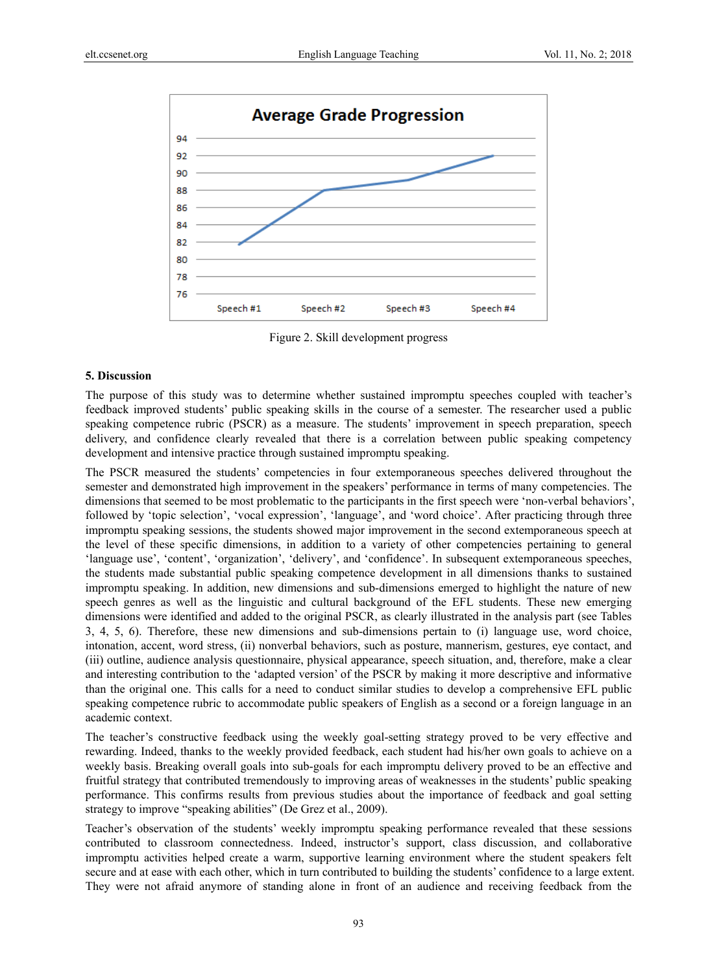

Figure 2. Skill development progress

#### **5. Discussion**

The purpose of this study was to determine whether sustained impromptu speeches coupled with teacher's feedback improved students' public speaking skills in the course of a semester. The researcher used a public speaking competence rubric (PSCR) as a measure. The students' improvement in speech preparation, speech delivery, and confidence clearly revealed that there is a correlation between public speaking competency development and intensive practice through sustained impromptu speaking.

The PSCR measured the students' competencies in four extemporaneous speeches delivered throughout the semester and demonstrated high improvement in the speakers' performance in terms of many competencies. The dimensions that seemed to be most problematic to the participants in the first speech were 'non-verbal behaviors', followed by 'topic selection', 'vocal expression', 'language', and 'word choice'. After practicing through three impromptu speaking sessions, the students showed major improvement in the second extemporaneous speech at the level of these specific dimensions, in addition to a variety of other competencies pertaining to general 'language use', 'content', 'organization', 'delivery', and 'confidence'. In subsequent extemporaneous speeches, the students made substantial public speaking competence development in all dimensions thanks to sustained impromptu speaking. In addition, new dimensions and sub-dimensions emerged to highlight the nature of new speech genres as well as the linguistic and cultural background of the EFL students. These new emerging dimensions were identified and added to the original PSCR, as clearly illustrated in the analysis part (see Tables 3, 4, 5, 6). Therefore, these new dimensions and sub-dimensions pertain to (i) language use, word choice, intonation, accent, word stress, (ii) nonverbal behaviors, such as posture, mannerism, gestures, eye contact, and (iii) outline, audience analysis questionnaire, physical appearance, speech situation, and, therefore, make a clear and interesting contribution to the 'adapted version' of the PSCR by making it more descriptive and informative than the original one. This calls for a need to conduct similar studies to develop a comprehensive EFL public speaking competence rubric to accommodate public speakers of English as a second or a foreign language in an academic context.

The teacher's constructive feedback using the weekly goal-setting strategy proved to be very effective and rewarding. Indeed, thanks to the weekly provided feedback, each student had his/her own goals to achieve on a weekly basis. Breaking overall goals into sub-goals for each impromptu delivery proved to be an effective and fruitful strategy that contributed tremendously to improving areas of weaknesses in the students' public speaking performance. This confirms results from previous studies about the importance of feedback and goal setting strategy to improve "speaking abilities" (De Grez et al., 2009).

Teacher's observation of the students' weekly impromptu speaking performance revealed that these sessions contributed to classroom connectedness. Indeed, instructor's support, class discussion, and collaborative impromptu activities helped create a warm, supportive learning environment where the student speakers felt secure and at ease with each other, which in turn contributed to building the students' confidence to a large extent. They were not afraid anymore of standing alone in front of an audience and receiving feedback from the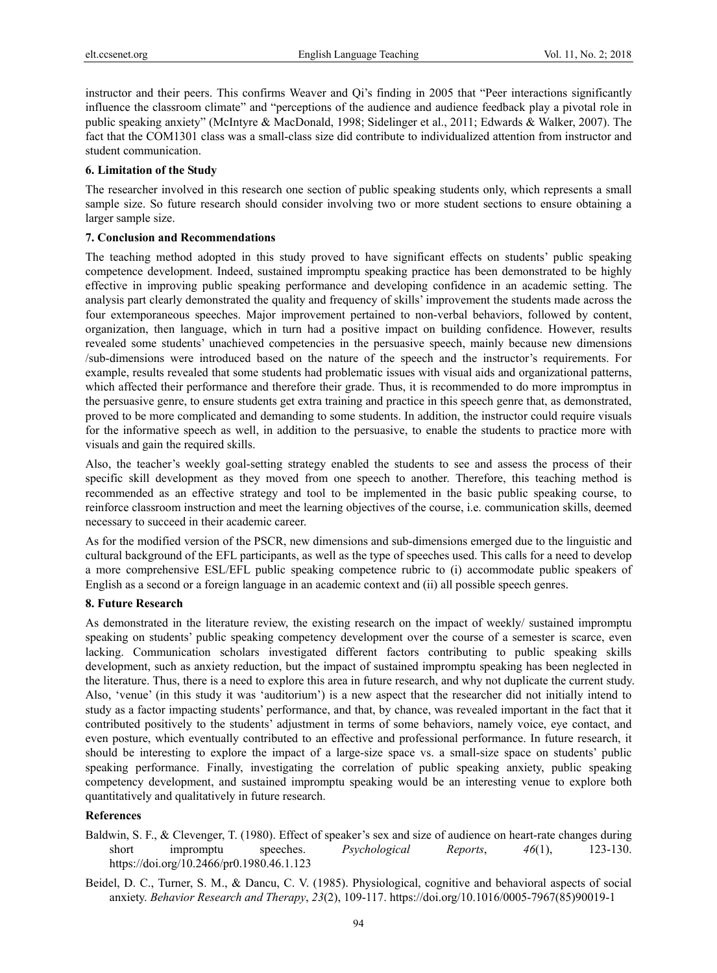instructor and their peers. This confirms Weaver and Qi's finding in 2005 that "Peer interactions significantly influence the classroom climate" and "perceptions of the audience and audience feedback play a pivotal role in public speaking anxiety" (McIntyre & MacDonald, 1998; Sidelinger et al., 2011; Edwards & Walker, 2007). The fact that the COM1301 class was a small-class size did contribute to individualized attention from instructor and student communication.

# **6. Limitation of the Study**

The researcher involved in this research one section of public speaking students only, which represents a small sample size. So future research should consider involving two or more student sections to ensure obtaining a larger sample size.

# **7. Conclusion and Recommendations**

The teaching method adopted in this study proved to have significant effects on students' public speaking competence development. Indeed, sustained impromptu speaking practice has been demonstrated to be highly effective in improving public speaking performance and developing confidence in an academic setting. The analysis part clearly demonstrated the quality and frequency of skills' improvement the students made across the four extemporaneous speeches. Major improvement pertained to non-verbal behaviors, followed by content, organization, then language, which in turn had a positive impact on building confidence. However, results revealed some students' unachieved competencies in the persuasive speech, mainly because new dimensions /sub-dimensions were introduced based on the nature of the speech and the instructor's requirements. For example, results revealed that some students had problematic issues with visual aids and organizational patterns, which affected their performance and therefore their grade. Thus, it is recommended to do more impromptus in the persuasive genre, to ensure students get extra training and practice in this speech genre that, as demonstrated, proved to be more complicated and demanding to some students. In addition, the instructor could require visuals for the informative speech as well, in addition to the persuasive, to enable the students to practice more with visuals and gain the required skills.

Also, the teacher's weekly goal-setting strategy enabled the students to see and assess the process of their specific skill development as they moved from one speech to another. Therefore, this teaching method is recommended as an effective strategy and tool to be implemented in the basic public speaking course, to reinforce classroom instruction and meet the learning objectives of the course, i.e. communication skills, deemed necessary to succeed in their academic career.

As for the modified version of the PSCR, new dimensions and sub-dimensions emerged due to the linguistic and cultural background of the EFL participants, as well as the type of speeches used. This calls for a need to develop a more comprehensive ESL/EFL public speaking competence rubric to (i) accommodate public speakers of English as a second or a foreign language in an academic context and (ii) all possible speech genres.

# **8. Future Research**

As demonstrated in the literature review, the existing research on the impact of weekly/ sustained impromptu speaking on students' public speaking competency development over the course of a semester is scarce, even lacking. Communication scholars investigated different factors contributing to public speaking skills development, such as anxiety reduction, but the impact of sustained impromptu speaking has been neglected in the literature. Thus, there is a need to explore this area in future research, and why not duplicate the current study. Also, 'venue' (in this study it was 'auditorium') is a new aspect that the researcher did not initially intend to study as a factor impacting students' performance, and that, by chance, was revealed important in the fact that it contributed positively to the students' adjustment in terms of some behaviors, namely voice, eye contact, and even posture, which eventually contributed to an effective and professional performance. In future research, it should be interesting to explore the impact of a large-size space vs. a small-size space on students' public speaking performance. Finally, investigating the correlation of public speaking anxiety, public speaking competency development, and sustained impromptu speaking would be an interesting venue to explore both quantitatively and qualitatively in future research.

# **References**

- Baldwin, S. F., & Clevenger, T. (1980). Effect of speaker's sex and size of audience on heart-rate changes during short impromptu speeches. *Psychological Reports*, *46*(1), 123-130. https://doi.org/10.2466/pr0.1980.46.1.123
- Beidel, D. C., Turner, S. M., & Dancu, C. V. (1985). Physiological, cognitive and behavioral aspects of social anxiety. *Behavior Research and Therapy*, *23*(2), 109-117. https://doi.org/10.1016/0005-7967(85)90019-1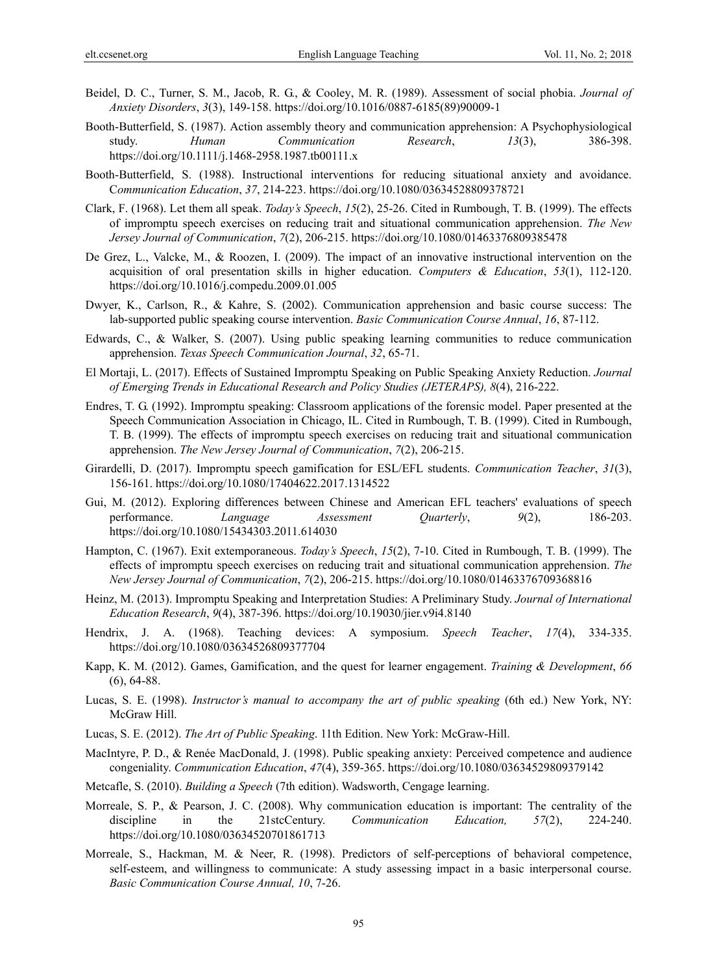- Beidel, D. C., Turner, S. M., Jacob, R. G., & Cooley, M. R. (1989). Assessment of social phobia. *Journal of Anxiety Disorders*, *3*(3), 149-158. https://doi.org/10.1016/0887-6185(89)90009-1
- Booth-Butterfield, S. (1987). Action assembly theory and communication apprehension: A Psychophysiological study. *Human Communication Research*, *13*(3), 386-398. https://doi.org/10.1111/j.1468-2958.1987.tb00111.x
- Booth-Butterfield, S. (1988). Instructional interventions for reducing situational anxiety and avoidance. C*ommunication Education*, *37*, 214-223. https://doi.org/10.1080/03634528809378721
- Clark, F. (1968). Let them all speak. *Today's Speech*, *15*(2), 25-26. Cited in Rumbough, T. B. (1999). The effects of impromptu speech exercises on reducing trait and situational communication apprehension. *The New Jersey Journal of Communication*, *7*(2), 206-215. https://doi.org/10.1080/01463376809385478
- De Grez, L., Valcke, M., & Roozen, I. (2009). The impact of an innovative instructional intervention on the acquisition of oral presentation skills in higher education. *Computers & Education*, *53*(1), 112-120. https://doi.org/10.1016/j.compedu.2009.01.005
- Dwyer, K., Carlson, R., & Kahre, S. (2002). Communication apprehension and basic course success: The lab-supported public speaking course intervention. *Basic Communication Course Annual*, *16*, 87-112.
- Edwards, C., & Walker, S. (2007). Using public speaking learning communities to reduce communication apprehension. *Texas Speech Communication Journal*, *32*, 65-71.
- El Mortaji, L. (2017). Effects of Sustained Impromptu Speaking on Public Speaking Anxiety Reduction. *Journal of Emerging Trends in Educational Research and Policy Studies (JETERAPS), 8*(4), 216-222.
- Endres, T. G. (1992). Impromptu speaking: Classroom applications of the forensic model. Paper presented at the Speech Communication Association in Chicago, IL. Cited in Rumbough, T. B. (1999). Cited in Rumbough, T. B. (1999). The effects of impromptu speech exercises on reducing trait and situational communication apprehension. *The New Jersey Journal of Communication*, *7*(2), 206-215.
- Girardelli, D. (2017). Impromptu speech gamification for ESL/EFL students. *Communication Teacher*, *31*(3), 156-161. https://doi.org/10.1080/17404622.2017.1314522
- Gui, M. (2012). Exploring differences between Chinese and American EFL teachers' evaluations of speech performance. *Language Assessment Quarterly*, *9*(2), 186-203. https://doi.org/10.1080/15434303.2011.614030
- Hampton, C. (1967). Exit extemporaneous. *Today's Speech*, *15*(2), 7-10. Cited in Rumbough, T. B. (1999). The effects of impromptu speech exercises on reducing trait and situational communication apprehension. *The New Jersey Journal of Communication*, *7*(2), 206-215. https://doi.org/10.1080/01463376709368816
- Heinz, M. (2013). Impromptu Speaking and Interpretation Studies: A Preliminary Study. *Journal of International Education Research*, *9*(4), 387-396. https://doi.org/10.19030/jier.v9i4.8140
- Hendrix, J. A. (1968). Teaching devices: A symposium. *Speech Teacher*, *17*(4), 334-335. https://doi.org/10.1080/03634526809377704
- Kapp, K. M. (2012). Games, Gamification, and the quest for learner engagement. *Training & Development*, *66*  (6), 64-88.
- Lucas, S. E. (1998). *Instructor's manual to accompany the art of public speaking* (6th ed.) New York, NY: McGraw Hill.
- Lucas, S. E. (2012). *The Art of Public Speaking*. 11th Edition. New York: McGraw-Hill.
- MacIntyre, P. D., & Renée MacDonald, J. (1998). Public speaking anxiety: Perceived competence and audience congeniality. *Communication Education*, *47*(4), 359-365. https://doi.org/10.1080/03634529809379142
- Metcafle, S. (2010). *Building a Speech* (7th edition). Wadsworth, Cengage learning.
- Morreale, S. P., & Pearson, J. C. (2008). Why communication education is important: The centrality of the discipline in the 21stcCentury. *Communication Education, 57*(2), 224-240. https://doi.org/10.1080/03634520701861713
- Morreale, S., Hackman, M. & Neer, R. (1998). Predictors of self-perceptions of behavioral competence, self-esteem, and willingness to communicate: A study assessing impact in a basic interpersonal course. *Basic Communication Course Annual, 10*, 7-26.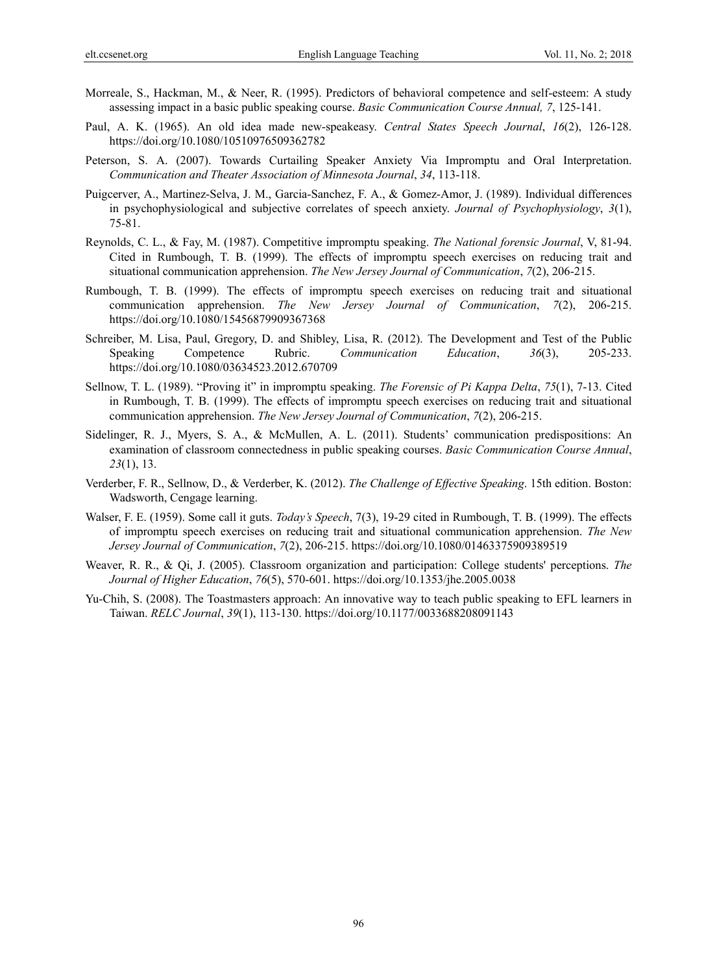- Morreale, S., Hackman, M., & Neer, R. (1995). Predictors of behavioral competence and self-esteem: A study assessing impact in a basic public speaking course. *Basic Communication Course Annual, 7*, 125-141.
- Paul, A. K. (1965). An old idea made new-speakeasy. *Central States Speech Journal*, *16*(2), 126-128. https://doi.org/10.1080/10510976509362782
- Peterson, S. A. (2007). Towards Curtailing Speaker Anxiety Via Impromptu and Oral Interpretation. *Communication and Theater Association of Minnesota Journal*, *34*, 113-118.
- Puigcerver, A., Martinez-Selva, J. M., Garcia-Sanchez, F. A., & Gomez-Amor, J. (1989). Individual differences in psychophysiological and subjective correlates of speech anxiety. *Journal of Psychophysiology*, *3*(1), 75-81.
- Reynolds, C. L., & Fay, M. (1987). Competitive impromptu speaking. *The National forensic Journal*, V, 81-94. Cited in Rumbough, T. B. (1999). The effects of impromptu speech exercises on reducing trait and situational communication apprehension. *The New Jersey Journal of Communication*, *7*(2), 206-215.
- Rumbough, T. B. (1999). The effects of impromptu speech exercises on reducing trait and situational communication apprehension. *The New Jersey Journal of Communication*, *7*(2), 206-215. https://doi.org/10.1080/15456879909367368
- Schreiber, M. Lisa, Paul, Gregory, D. and Shibley, Lisa, R. (2012). The Development and Test of the Public Speaking Competence Rubric. *Communication Education*, *36*(3), 205-233. https://doi.org/10.1080/03634523.2012.670709
- Sellnow, T. L. (1989). "Proving it" in impromptu speaking. *The Forensic of Pi Kappa Delta*, *75*(1), 7-13. Cited in Rumbough, T. B. (1999). The effects of impromptu speech exercises on reducing trait and situational communication apprehension. *The New Jersey Journal of Communication*, *7*(2), 206-215.
- Sidelinger, R. J., Myers, S. A., & McMullen, A. L. (2011). Students' communication predispositions: An examination of classroom connectedness in public speaking courses. *Basic Communication Course Annual*, *23*(1), 13.
- Verderber, F. R., Sellnow, D., & Verderber, K. (2012). *The Challenge of Effective Speaking*. 15th edition. Boston: Wadsworth, Cengage learning.
- Walser, F. E. (1959). Some call it guts. *Today's Speech*, 7(3), 19-29 cited in Rumbough, T. B. (1999). The effects of impromptu speech exercises on reducing trait and situational communication apprehension. *The New Jersey Journal of Communication*, *7*(2), 206-215. https://doi.org/10.1080/01463375909389519
- Weaver, R. R., & Qi, J. (2005). Classroom organization and participation: College students' perceptions. *The Journal of Higher Education*, *76*(5), 570-601. https://doi.org/10.1353/jhe.2005.0038
- Yu-Chih, S. (2008). The Toastmasters approach: An innovative way to teach public speaking to EFL learners in Taiwan. *RELC Journal*, *39*(1), 113-130. https://doi.org/10.1177/0033688208091143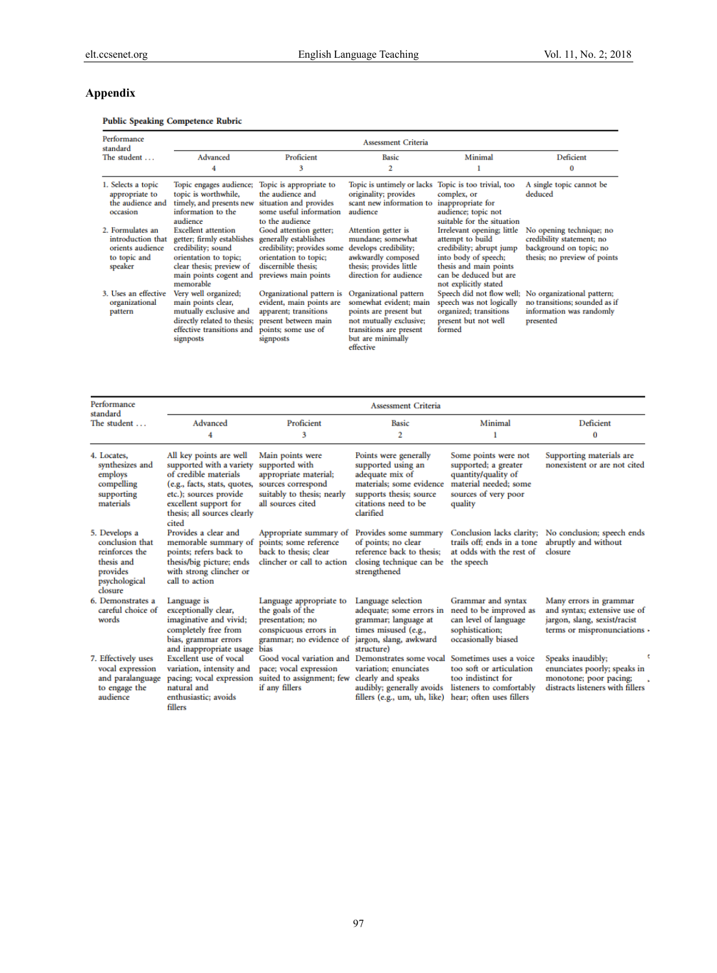# **Appendix**

Public Speaking Competence Rubric

| Performance<br>standard                                                              | Assessment Criteria                                                                                                                                                        |                                                                                                                                                       |                                                                                                                                                                    |                                                                                                                                                                                 |                                                                                                                  |  |  |  |
|--------------------------------------------------------------------------------------|----------------------------------------------------------------------------------------------------------------------------------------------------------------------------|-------------------------------------------------------------------------------------------------------------------------------------------------------|--------------------------------------------------------------------------------------------------------------------------------------------------------------------|---------------------------------------------------------------------------------------------------------------------------------------------------------------------------------|------------------------------------------------------------------------------------------------------------------|--|--|--|
| The student                                                                          | Advanced                                                                                                                                                                   | Proficient                                                                                                                                            | Basic                                                                                                                                                              | Minimal                                                                                                                                                                         | Deficient                                                                                                        |  |  |  |
|                                                                                      | 4                                                                                                                                                                          | 3                                                                                                                                                     | 2                                                                                                                                                                  |                                                                                                                                                                                 | 0                                                                                                                |  |  |  |
| 1. Selects a topic<br>appropriate to<br>the audience and<br>occasion                 | Topic engages audience;<br>topic is worthwhile,<br>timely, and presents new<br>information to the<br>audience                                                              | Topic is appropriate to<br>the audience and<br>situation and provides<br>some useful information<br>to the audience                                   | Topic is untimely or lacks<br>originality; provides<br>scant new information to<br>audience                                                                        | Topic is too trivial, too<br>complex, or<br>inappropriate for<br>audience; topic not<br>suitable for the situation                                                              | A single topic cannot be<br>deduced                                                                              |  |  |  |
| 2. Formulates an<br>introduction that<br>orients audience<br>to topic and<br>speaker | <b>Excellent</b> attention<br>getter; firmly establishes<br>credibility; sound<br>orientation to topic;<br>clear thesis; preview of<br>main points cogent and<br>memorable | Good attention getter;<br>generally establishes<br>credibility; provides some<br>orientation to topic;<br>discernible thesis:<br>previews main points | Attention getter is<br>mundane: somewhat<br>develops credibility;<br>awkwardly composed<br>thesis; provides little<br>direction for audience                       | Irrelevant opening; little<br>attempt to build<br>credibility; abrupt jump<br>into body of speech;<br>thesis and main points<br>can be deduced but are<br>not explicitly stated | No opening technique; no<br>credibility statement; no<br>background on topic; no<br>thesis; no preview of points |  |  |  |
| 3. Uses an effective<br>organizational<br>pattern                                    | Very well organized;<br>main points clear,<br>mutually exclusive and<br>directly related to thesis;<br>effective transitions and<br>signposts                              | Organizational pattern is<br>evident, main points are<br>apparent; transitions<br>present between main<br>points; some use of<br>signposts            | Organizational pattern<br>somewhat evident: main<br>points are present but<br>not mutually exclusive:<br>transitions are present<br>but are minimally<br>effective | Speech did not flow well;<br>speech was not logically<br>organized; transitions<br>present but not well<br>formed                                                               | No organizational pattern;<br>no transitions: sounded as if<br>information was randomly<br>presented             |  |  |  |

| Performance<br>standard<br>The student                                                                   | <b>Assessment Criteria</b>                                                                                                                                                                              |                                                                                                                                      |                                                                                                                                                            |                                                                                                                                  |                                                                                                                        |  |  |  |  |
|----------------------------------------------------------------------------------------------------------|---------------------------------------------------------------------------------------------------------------------------------------------------------------------------------------------------------|--------------------------------------------------------------------------------------------------------------------------------------|------------------------------------------------------------------------------------------------------------------------------------------------------------|----------------------------------------------------------------------------------------------------------------------------------|------------------------------------------------------------------------------------------------------------------------|--|--|--|--|
|                                                                                                          | Advanced<br>4                                                                                                                                                                                           | Proficient<br>3                                                                                                                      | Basic<br>$\overline{2}$                                                                                                                                    | Minimal                                                                                                                          | Deficient<br>0                                                                                                         |  |  |  |  |
| 4. Locates,<br>synthesizes and<br>employs<br>compelling<br>supporting<br>materials                       | All key points are well<br>supported with a variety<br>of credible materials<br>(e.g., facts, stats, quotes,<br>etc.); sources provide<br>excellent support for<br>thesis; all sources clearly<br>cited | Main points were<br>supported with<br>appropriate material;<br>sources correspond<br>suitably to thesis; nearly<br>all sources cited | Points were generally<br>supported using an<br>adequate mix of<br>materials; some evidence<br>supports thesis; source<br>citations need to be<br>clarified | Some points were not<br>supported; a greater<br>quantity/quality of<br>material needed; some<br>sources of very poor<br>quality  | Supporting materials are<br>nonexistent or are not cited                                                               |  |  |  |  |
| 5. Develops a<br>conclusion that<br>reinforces the<br>thesis and<br>provides<br>psychological<br>closure | Provides a clear and<br>memorable summary of<br>points; refers back to<br>thesis/big picture; ends<br>with strong clincher or<br>call to action                                                         | Appropriate summary of<br>points; some reference<br>back to thesis: clear<br>clincher or call to action                              | Provides some summary<br>of points; no clear<br>reference back to thesis:<br>closing technique can be<br>strengthened                                      | Conclusion lacks clarity;<br>trails off; ends in a tone<br>at odds with the rest of<br>the speech                                | No conclusion; speech ends<br>abruptly and without<br>closure                                                          |  |  |  |  |
| 6. Demonstrates a<br>careful choice of<br>words                                                          | Language is<br>exceptionally clear,<br>imaginative and vivid;<br>completely free from<br>bias, grammar errors<br>and inappropriate usage                                                                | Language appropriate to<br>the goals of the<br>presentation; no<br>conspicuous errors in<br>grammar; no evidence of<br>bias          | Language selection<br>adequate; some errors in<br>grammar; language at<br>times misused (e.g.,<br>jargon, slang, awkward<br>structure)                     | Grammar and syntax<br>need to be improved as<br>can level of language<br>sophistication;<br>occasionally biased                  | Many errors in grammar<br>and syntax; extensive use of<br>jargon, slang, sexist/racist<br>terms or mispronunciations · |  |  |  |  |
| 7. Effectively uses<br>vocal expression<br>and paralanguage<br>to engage the<br>audience                 | <b>Excellent</b> use of vocal<br>variation, intensity and<br>pacing; vocal expression<br>natural and<br>enthusiastic; avoids<br>fillers                                                                 | Good vocal variation and<br>pace; vocal expression<br>suited to assignment; few<br>if any fillers                                    | Demonstrates some vocal<br>variation: enunciates<br>clearly and speaks<br>audibly; generally avoids<br>fillers (e.g., um, uh, like)                        | Sometimes uses a voice<br>too soft or articulation<br>too indistinct for<br>listeners to comfortably<br>hear; often uses fillers | Speaks inaudibly;<br>enunciates poorly; speaks in<br>monotone; poor pacing;<br>distracts listeners with fillers        |  |  |  |  |